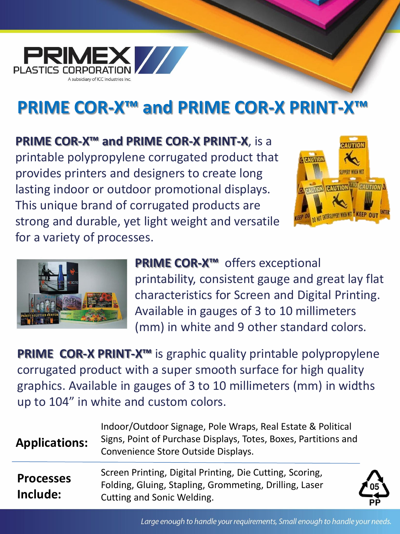

## **PRIME COR-X™ and PRIME COR-X PRINT-X™**

**PRIME COR-X™ and PRIME COR-X PRINT-X**, is a printable polypropylene corrugated product that provides printers and designers to create long lasting indoor or outdoor promotional displays. This unique brand of corrugated products are strong and durable, yet light weight and versatile for a variety of processes.





**PRIME COR-X™** offers exceptional printability, consistent gauge and great lay flat characteristics for Screen and Digital Printing. Available in gauges of 3 to 10 millimeters (mm) in white and 9 other standard colors.

**PRIME COR-X PRINT-X<sup>™</sup>** is graphic quality printable polypropylene corrugated product with a super smooth surface for high quality graphics. Available in gauges of 3 to 10 millimeters (mm) in widths up to 104" in white and custom colors.

| <b>Applications:</b>         | Indoor/Outdoor Signage, Pole Wraps, Real Estate & Political<br>Signs, Point of Purchase Displays, Totes, Boxes, Partitions and<br>Convenience Store Outside Displays. |                             |
|------------------------------|-----------------------------------------------------------------------------------------------------------------------------------------------------------------------|-----------------------------|
| <b>Processes</b><br>Include: | Screen Printing, Digital Printing, Die Cutting, Scoring,<br>Folding, Gluing, Stapling, Grommeting, Drilling, Laser<br>Cutting and Sonic Welding.                      | $\frac{1}{105}$<br>P∲<br>PP |

Large enough to handle your requirements, Small enough to handle your needs.